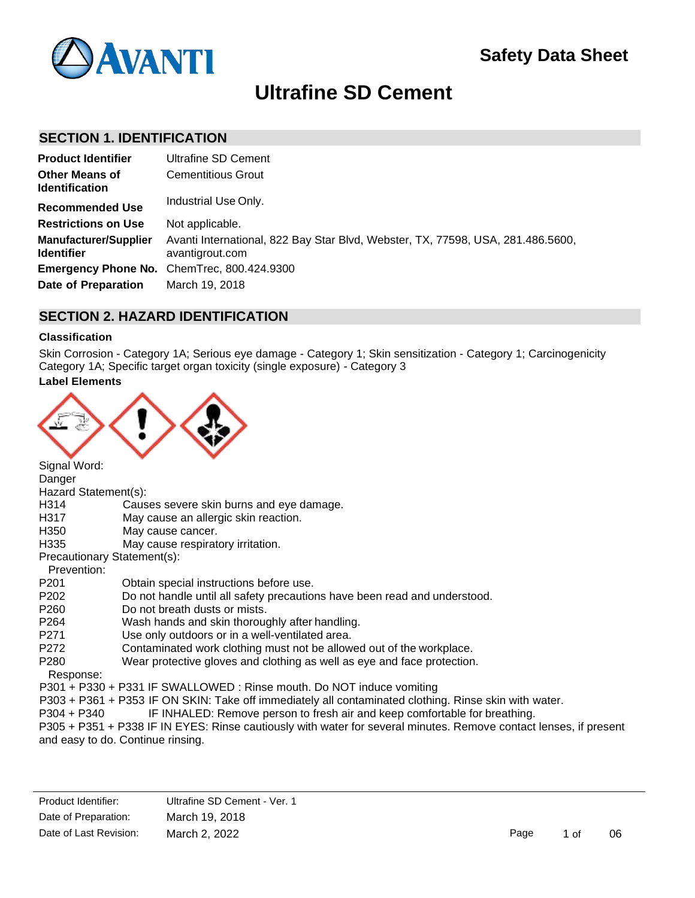

# **Ultrafine SD Cement**

## **SECTION 1. IDENTIFICATION**

| <b>Product Identifier</b>                         | Ultrafine SD Cement                                                                                |
|---------------------------------------------------|----------------------------------------------------------------------------------------------------|
| <b>Other Means of</b><br><b>Identification</b>    | <b>Cementitious Grout</b>                                                                          |
| <b>Recommended Use</b>                            | Industrial Use Only.                                                                               |
| <b>Restrictions on Use</b>                        | Not applicable.                                                                                    |
| <b>Manufacturer/Supplier</b><br><b>Identifier</b> | Avanti International, 822 Bay Star Blvd, Webster, TX, 77598, USA, 281.486.5600,<br>avantigrout.com |
|                                                   | Emergency Phone No. ChemTrec, 800.424.9300                                                         |
| Date of Preparation                               | March 19, 2018                                                                                     |

# **SECTION 2. HAZARD IDENTIFICATION**

#### **Classification**

Skin Corrosion - Category 1A; Serious eye damage - Category 1; Skin sensitization - Category 1; Carcinogenicity Category 1A; Specific target organ toxicity (single exposure) - Category 3

## **Label Elements**



| Signal Word:     |                                                                                                                   |
|------------------|-------------------------------------------------------------------------------------------------------------------|
| Danger           |                                                                                                                   |
|                  | Hazard Statement(s):                                                                                              |
| H314             | Causes severe skin burns and eye damage.                                                                          |
| H317             | May cause an allergic skin reaction.                                                                              |
| H350             | May cause cancer.                                                                                                 |
| H335             | May cause respiratory irritation.                                                                                 |
|                  | Precautionary Statement(s):                                                                                       |
| Prevention:      |                                                                                                                   |
| P <sub>201</sub> | Obtain special instructions before use.                                                                           |
| P202             | Do not handle until all safety precautions have been read and understood.                                         |
| P260             | Do not breath dusts or mists.                                                                                     |
| P264             | Wash hands and skin thoroughly after handling.                                                                    |
| P271             | Use only outdoors or in a well-ventilated area.                                                                   |
| P272             | Contaminated work clothing must not be allowed out of the workplace.                                              |
| P <sub>280</sub> | Wear protective gloves and clothing as well as eye and face protection.                                           |
| Response:        |                                                                                                                   |
|                  | P301 + P330 + P331 IF SWALLOWED: Rinse mouth. Do NOT induce vomiting                                              |
|                  | P303 + P361 + P353 IF ON SKIN: Take off immediately all contaminated clothing. Rinse skin with water.             |
| P304 + P340      | IF INHALED: Remove person to fresh air and keep comfortable for breathing.                                        |
|                  | P305 + P351 + P338 IF IN EYES: Rinse cautiously with water for several minutes. Remove contact lenses, if present |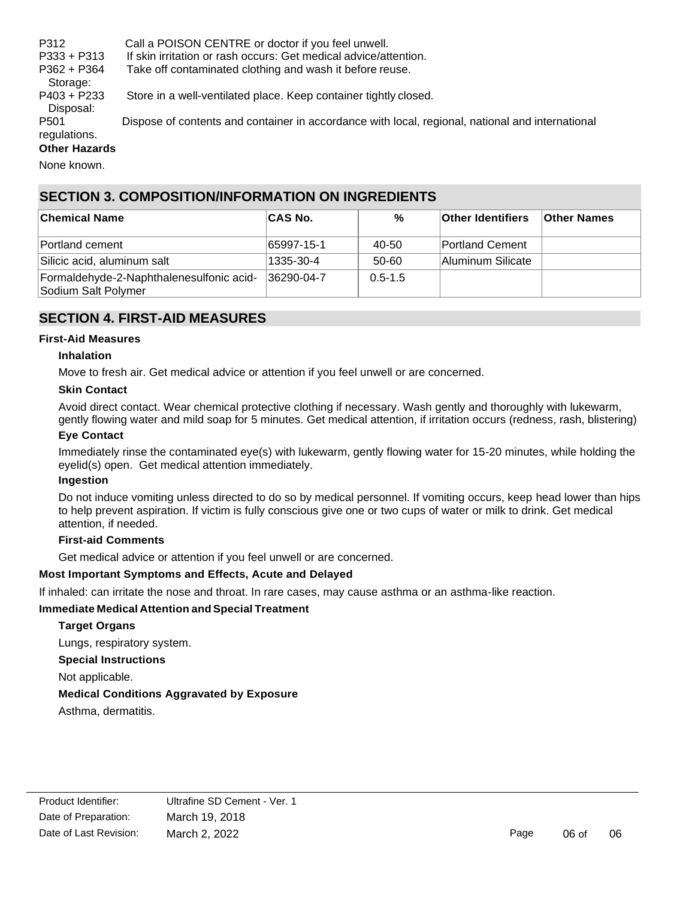P312 Call a POISON CENTRE or doctor if you feel unwell. P333 + P313 If skin irritation or rash occurs: Get medical advice/attention. P362 + P364 Take off contaminated clothing and wash it before reuse. Storage: P403 + P233 Store in a well-ventilated place. Keep container tightly closed. Disposal: P501 Dispose of contents and container in accordance with local, regional, national and international regulations. **Other Hazards**

None known.

## **SECTION 3. COMPOSITION/INFORMATION ON INGREDIENTS**

| ∣Chemical Name                                                  | ∣CAS No.   | %           | <b>Other Identifiers</b> | <b>Other Names</b> |
|-----------------------------------------------------------------|------------|-------------|--------------------------|--------------------|
| Portland cement                                                 | 65997-15-1 | 40-50       | <b>Portland Cement</b>   |                    |
| Silicic acid, aluminum salt                                     | 1335-30-4  | 50-60       | Aluminum Silicate        |                    |
| Formaldehyde-2-Naphthalenesulfonic acid-<br>Sodium Salt Polymer | 36290-04-7 | $0.5 - 1.5$ |                          |                    |

# **SECTION 4. FIRST-AID MEASURES**

#### **First-Aid Measures**

#### **Inhalation**

Move to fresh air. Get medical advice or attention if you feel unwell or are concerned.

#### **Skin Contact**

Avoid direct contact. Wear chemical protective clothing if necessary. Wash gently and thoroughly with lukewarm, gently flowing water and mild soap for 5 minutes. Get medical attention, if irritation occurs (redness, rash, blistering)

#### **Eye Contact**

Immediately rinse the contaminated eye(s) with lukewarm, gently flowing water for 15-20 minutes, while holding the eyelid(s) open. Get medical attention immediately.

#### **Ingestion**

Do not induce vomiting unless directed to do so by medical personnel. If vomiting occurs, keep head lower than hips to help prevent aspiration. If victim is fully conscious give one or two cups of water or milk to drink. Get medical attention, if needed.

#### **First-aid Comments**

Get medical advice or attention if you feel unwell or are concerned.

#### **Most Important Symptoms and Effects, Acute and Delayed**

If inhaled: can irritate the nose and throat. In rare cases, may cause asthma or an asthma-like reaction.

#### **Immediate Medical Attention and Special Treatment**

#### **Target Organs**

Lungs, respiratory system.

**Special Instructions**

Not applicable.

#### **Medical Conditions Aggravated by Exposure**

Asthma, dermatitis.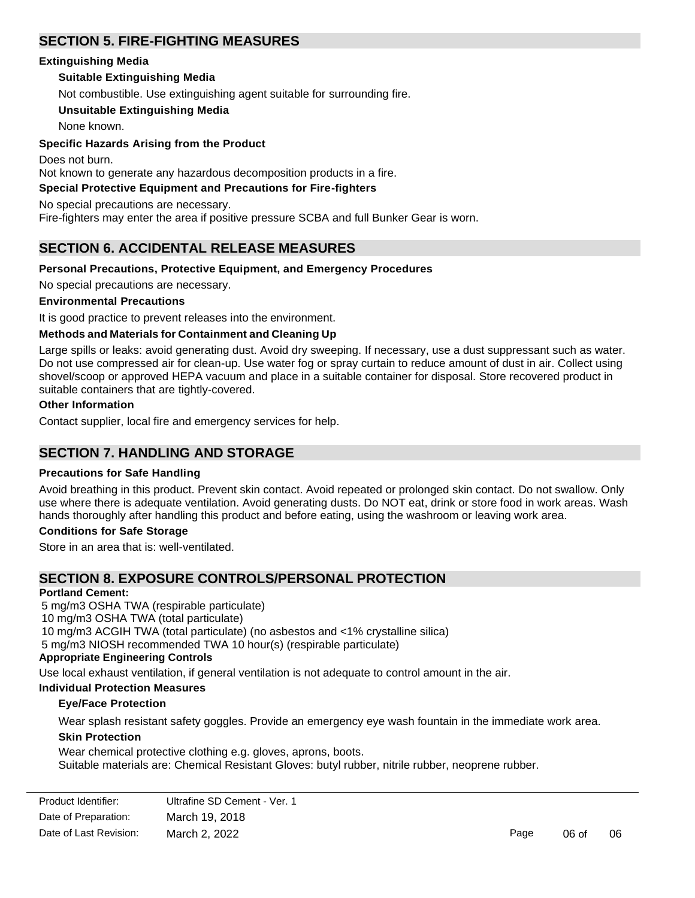# **SECTION 5. FIRE-FIGHTING MEASURES**

#### **Extinguishing Media**

## **Suitable Extinguishing Media**

Not combustible. Use extinguishing agent suitable for surrounding fire.

## **Unsuitable Extinguishing Media**

None known.

## **Specific Hazards Arising from the Product**

Does not burn. Not known to generate any hazardous decomposition products in a fire.

## **Special Protective Equipment and Precautions for Fire-fighters**

No special precautions are necessary.

Fire-fighters may enter the area if positive pressure SCBA and full Bunker Gear is worn.

# **SECTION 6. ACCIDENTAL RELEASE MEASURES**

#### **Personal Precautions, Protective Equipment, and Emergency Procedures**

No special precautions are necessary.

#### **Environmental Precautions**

It is good practice to prevent releases into the environment.

#### **Methods and Materials for Containment and Cleaning Up**

Large spills or leaks: avoid generating dust. Avoid dry sweeping. If necessary, use a dust suppressant such as water. Do not use compressed air for clean-up. Use water fog or spray curtain to reduce amount of dust in air. Collect using shovel/scoop or approved HEPA vacuum and place in a suitable container for disposal. Store recovered product in suitable containers that are tightly-covered.

#### **Other Information**

Contact supplier, local fire and emergency services for help.

# **SECTION 7. HANDLING AND STORAGE**

#### **Precautions for Safe Handling**

Avoid breathing in this product. Prevent skin contact. Avoid repeated or prolonged skin contact. Do not swallow. Only use where there is adequate ventilation. Avoid generating dusts. Do NOT eat, drink or store food in work areas. Wash hands thoroughly after handling this product and before eating, using the washroom or leaving work area.

#### **Conditions for Safe Storage**

Store in an area that is: well-ventilated.

# **SECTION 8. EXPOSURE CONTROLS/PERSONAL PROTECTION**

#### **Portland Cement:**

5 mg/m3 OSHA TWA (respirable particulate) 10 mg/m3 OSHA TWA (total particulate) 10 mg/m3 ACGIH TWA (total particulate) (no asbestos and <1% crystalline silica) 5 mg/m3 NIOSH recommended TWA 10 hour(s) (respirable particulate) **Appropriate Engineering Controls**

Use local exhaust ventilation, if general ventilation is not adequate to control amount in the air.

#### **Individual Protection Measures**

#### **Eye/Face Protection**

Wear splash resistant safety goggles. Provide an emergency eye wash fountain in the immediate work area.

#### **Skin Protection**

Wear chemical protective clothing e.g. gloves, aprons, boots. Suitable materials are: Chemical Resistant Gloves: butyl rubber, nitrile rubber, neoprene rubber.

| Product Identifier:    | Ultrafine SD Cement - Ver. 1 |      |       |    |
|------------------------|------------------------------|------|-------|----|
| Date of Preparation:   | March 19, 2018               |      |       |    |
| Date of Last Revision: | March 2, 2022                | Page | 06 of | 06 |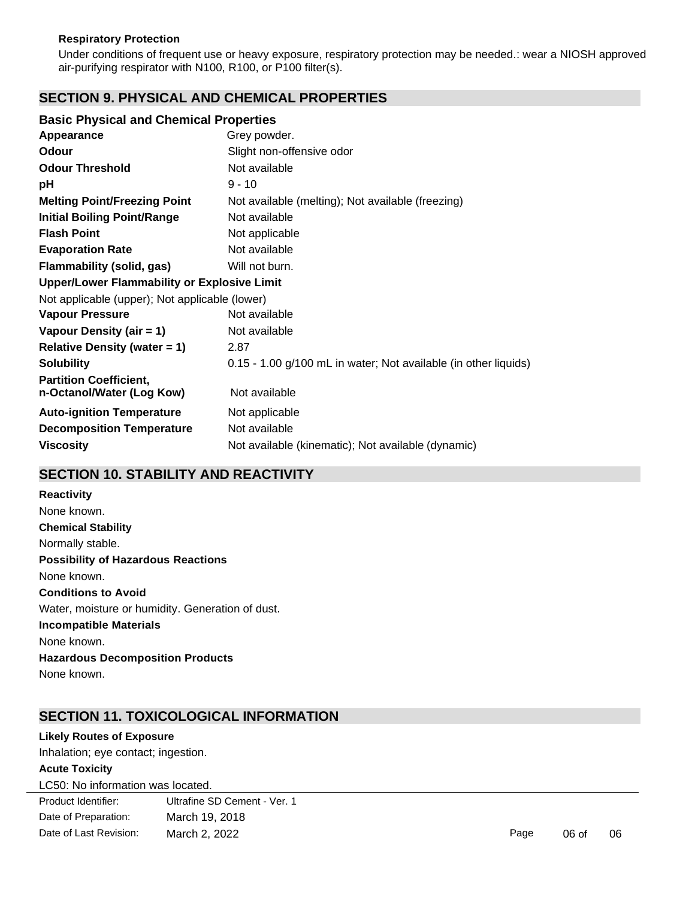#### **Respiratory Protection**

Under conditions of frequent use or heavy exposure, respiratory protection may be needed.: wear a NIOSH approved air-purifying respirator with N100, R100, or P100 filter(s).

## **SECTION 9. PHYSICAL AND CHEMICAL PROPERTIES**

#### **Basic Physical and Chemical Properties**

| Appearance                                                 | Grey powder.                                                    |  |  |  |
|------------------------------------------------------------|-----------------------------------------------------------------|--|--|--|
| <b>Odour</b>                                               | Slight non-offensive odor                                       |  |  |  |
| <b>Odour Threshold</b>                                     | Not available                                                   |  |  |  |
| рH                                                         | $9 - 10$                                                        |  |  |  |
| <b>Melting Point/Freezing Point</b>                        | Not available (melting); Not available (freezing)               |  |  |  |
| <b>Initial Boiling Point/Range</b>                         | Not available                                                   |  |  |  |
| <b>Flash Point</b>                                         | Not applicable                                                  |  |  |  |
| <b>Evaporation Rate</b>                                    | Not available                                                   |  |  |  |
| Flammability (solid, gas)                                  | Will not burn.                                                  |  |  |  |
| <b>Upper/Lower Flammability or Explosive Limit</b>         |                                                                 |  |  |  |
| Not applicable (upper); Not applicable (lower)             |                                                                 |  |  |  |
| <b>Vapour Pressure</b>                                     | Not available                                                   |  |  |  |
| Vapour Density (air = 1)                                   | Not available                                                   |  |  |  |
| <b>Relative Density (water = 1)</b>                        | 2.87                                                            |  |  |  |
| <b>Solubility</b>                                          | 0.15 - 1.00 g/100 mL in water; Not available (in other liquids) |  |  |  |
| <b>Partition Coefficient,</b><br>n-Octanol/Water (Log Kow) | Not available                                                   |  |  |  |
| <b>Auto-ignition Temperature</b>                           | Not applicable                                                  |  |  |  |
| <b>Decomposition Temperature</b>                           | Not available                                                   |  |  |  |
| <b>Viscosity</b>                                           | Not available (kinematic); Not available (dynamic)              |  |  |  |
|                                                            |                                                                 |  |  |  |

## **SECTION 10. STABILITY AND REACTIVITY**

**Reactivity** None known. **Chemical Stability**  Normally stable. **Possibility of Hazardous Reactions** None known. **Conditions to Avoid** Water, moisture or humidity. Generation of dust. **Incompatible Materials** None known. **Hazardous Decomposition Products** None known.

## **SECTION 11. TOXICOLOGICAL INFORMATION**

#### **Likely Routes of Exposure**

Inhalation; eye contact; ingestion.

#### **Acute Toxicity**

LC50: No information was located.

Product Identifier: Date of Preparation: Date of Last Revision: Ultrafine SD Cement - Ver. 1 March 19, 2018 March 2, 2022 **Page 06 of 06**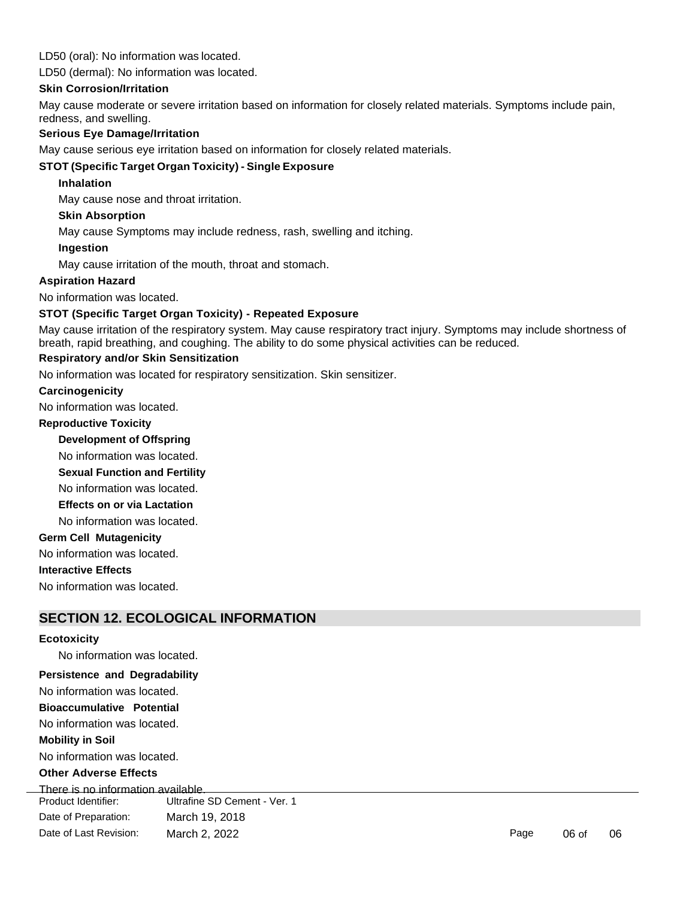#### LD50 (oral): No information was located.

LD50 (dermal): No information was located.

#### **Skin Corrosion/Irritation**

May cause moderate or severe irritation based on information for closely related materials. Symptoms include pain, redness, and swelling.

#### **Serious Eye Damage/Irritation**

May cause serious eye irritation based on information for closely related materials.

## **STOT (Specific Target Organ Toxicity) - Single Exposure**

#### **Inhalation**

May cause nose and throat irritation.

#### **Skin Absorption**

May cause Symptoms may include redness, rash, swelling and itching.

#### **Ingestion**

May cause irritation of the mouth, throat and stomach.

#### **Aspiration Hazard**

No information was located.

#### **STOT (Specific Target Organ Toxicity) - Repeated Exposure**

May cause irritation of the respiratory system. May cause respiratory tract injury. Symptoms may include shortness of breath, rapid breathing, and coughing. The ability to do some physical activities can be reduced.

#### **Respiratory and/or Skin Sensitization**

No information was located for respiratory sensitization. Skin sensitizer.

#### **Carcinogenicity**

No information was located.

#### **Reproductive Toxicity**

**Development of Offspring** 

No information was located.

**Sexual Function and Fertility** 

No information was located.

**Effects on or via Lactation** 

No information was located.

#### **Germ Cell Mutagenicity**

No information was located.

#### **Interactive Effects**

No information was located.

# **SECTION 12. ECOLOGICAL INFORMATION**

#### **Ecotoxicity**

No information was located.

#### **Persistence and Degradability**

No information was located.

**Bioaccumulative Potential** 

No information was located.

## **Mobility in Soil**

No information was located.

#### **Other Adverse Effects**

Product Identifier: Date of Preparation: Date of Last Revision: Ultrafine SD Cement - Ver. 1 March 19, 2018 March 2, 2022 **Page 106 of 2022 Page 106 of 06** of 06 of 06 of 06 of 06 of 06 of 06 of 06 of 06 of 06 of 06 of 06 of 06 of 06 of 06 of 06 of 06 of 06 of 06 of 06 of 06 of 06 of 06 of 06 of 06 of 06 of 06 of 06 of 06 of 0 There is no information available.